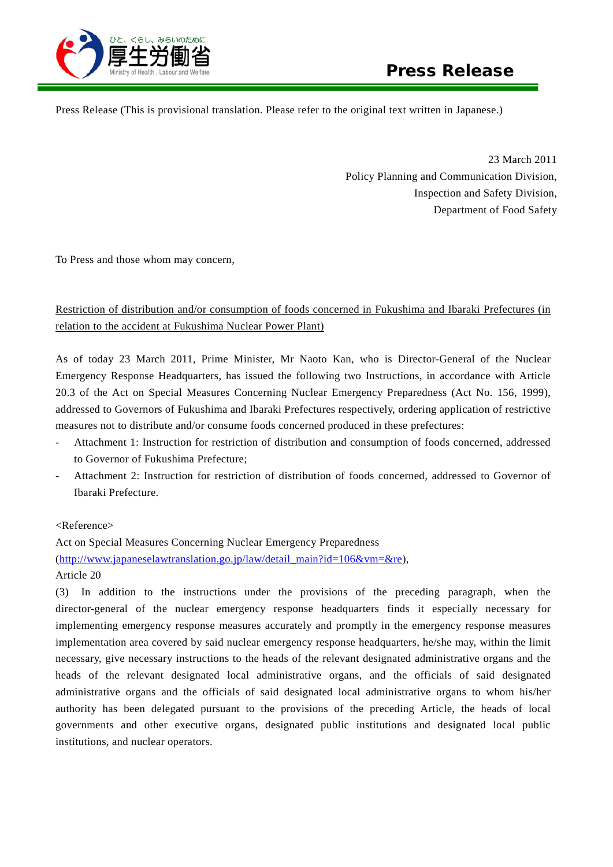

Press Release (This is provisional translation. Please refer to the original text written in Japanese.)

23 March 2011 Policy Planning and Communication Division, Inspection and Safety Division, Department of Food Safety

To Press and those whom may concern,

## Restriction of distribution and/or consumption of foods concerned in Fukushima and Ibaraki Prefectures (in relation to the accident at Fukushima Nuclear Power Plant)

As of today 23 March 2011, Prime Minister, Mr Naoto Kan, who is Director-General of the Nuclear Emergency Response Headquarters, has issued the following two Instructions, in accordance with Article 20.3 of the Act on Special Measures Concerning Nuclear Emergency Preparedness (Act No. 156, 1999), addressed to Governors of Fukushima and Ibaraki Prefectures respectively, ordering application of restrictive measures not to distribute and/or consume foods concerned produced in these prefectures:

- Attachment 1: Instruction for restriction of distribution and consumption of foods concerned, addressed to Governor of Fukushima Prefecture;
- Attachment 2: Instruction for restriction of distribution of foods concerned, addressed to Governor of Ibaraki Prefecture.

## <Reference>

Act on Special Measures Concerning Nuclear Emergency Preparedness [\(http://www.japaneselawtranslation.go.jp/law/detail\\_main?id=106&vm=&re\)](http://www.japaneselawtranslation.go.jp/law/detail_main?id=106&vm=&re), Article 20

(3) In addition to the instructions under the provisions of the preceding paragraph, when the director-general of the nuclear emergency response headquarters finds it especially necessary for implementing emergency response measures accurately and promptly in the emergency response measures implementation area covered by said nuclear emergency response headquarters, he/she may, within the limit necessary, give necessary instructions to the heads of the relevant designated administrative organs and the heads of the relevant designated local administrative organs, and the officials of said designated administrative organs and the officials of said designated local administrative organs to whom his/her authority has been delegated pursuant to the provisions of the preceding Article, the heads of local governments and other executive organs, designated public institutions and designated local public institutions, and nuclear operators.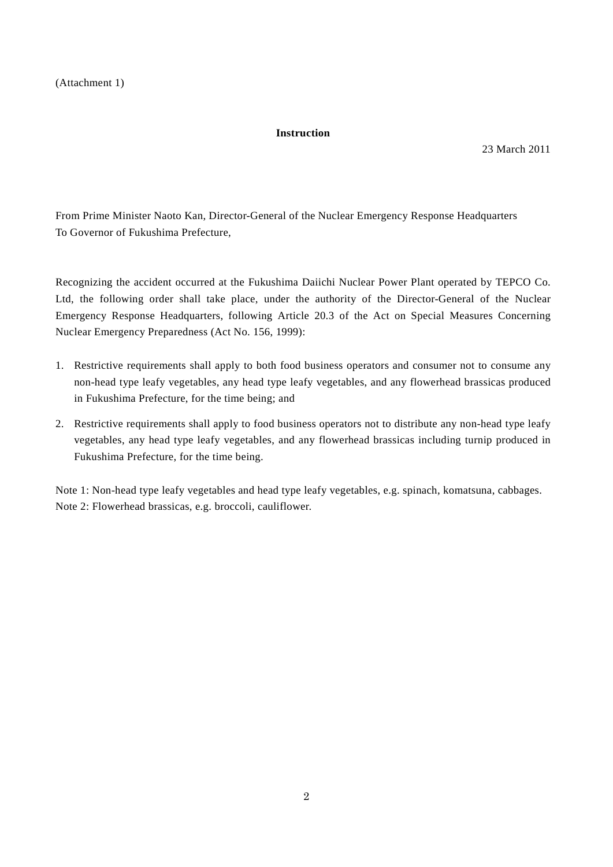## **Instruction**

23 March 2011

From Prime Minister Naoto Kan, Director-General of the Nuclear Emergency Response Headquarters To Governor of Fukushima Prefecture,

Recognizing the accident occurred at the Fukushima Daiichi Nuclear Power Plant operated by TEPCO Co. Ltd, the following order shall take place, under the authority of the Director-General of the Nuclear Emergency Response Headquarters, following Article 20.3 of the Act on Special Measures Concerning Nuclear Emergency Preparedness (Act No. 156, 1999):

- 1. Restrictive requirements shall apply to both food business operators and consumer not to consume any non-head type leafy vegetables, any head type leafy vegetables, and any flowerhead brassicas produced in Fukushima Prefecture, for the time being; and
- 2. Restrictive requirements shall apply to food business operators not to distribute any non-head type leafy vegetables, any head type leafy vegetables, and any flowerhead brassicas including turnip produced in Fukushima Prefecture, for the time being.

Note 1: Non-head type leafy vegetables and head type leafy vegetables, e.g. spinach, komatsuna, cabbages. Note 2: Flowerhead brassicas, e.g. broccoli, cauliflower.